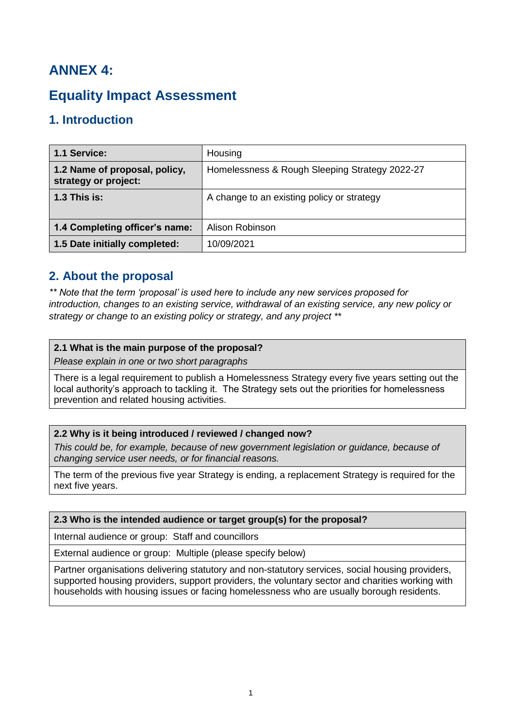# **ANNEX 4:**

# **Equality Impact Assessment**

## **1. Introduction**

| 1.1 Service:                                          | Housing                                        |
|-------------------------------------------------------|------------------------------------------------|
| 1.2 Name of proposal, policy,<br>strategy or project: | Homelessness & Rough Sleeping Strategy 2022-27 |
| $1.3$ This is:                                        | A change to an existing policy or strategy     |
|                                                       |                                                |
| 1.4 Completing officer's name:                        | Alison Robinson                                |
| 1.5 Date initially completed:                         | 10/09/2021                                     |

### **2. About the proposal**

*\*\* Note that the term 'proposal' is used here to include any new services proposed for introduction, changes to an existing service, withdrawal of an existing service, any new policy or strategy or change to an existing policy or strategy, and any project \*\**

### **2.1 What is the main purpose of the proposal?**

*Please explain in one or two short paragraphs*

There is a legal requirement to publish a Homelessness Strategy every five years setting out the local authority's approach to tackling it. The Strategy sets out the priorities for homelessness prevention and related housing activities.

### **2.2 Why is it being introduced / reviewed / changed now?**

*This could be, for example, because of new government legislation or guidance, because of changing service user needs, or for financial reasons.*

The term of the previous five year Strategy is ending, a replacement Strategy is required for the next five years.

### **2.3 Who is the intended audience or target group(s) for the proposal?**

Internal audience or group: Staff and councillors

External audience or group: Multiple (please specify below)

Partner organisations delivering statutory and non-statutory services, social housing providers, supported housing providers, support providers, the voluntary sector and charities working with households with housing issues or facing homelessness who are usually borough residents.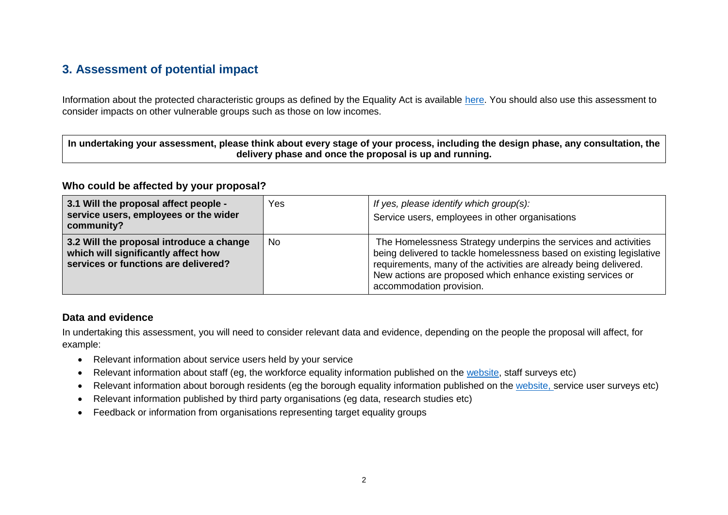## **3. Assessment of potential impact**

Information about the protected characteristic groups as defined by the Equality Act is available [here.](https://www.equalityhumanrights.com/en/equality-act/protected-characteristics) You should also use this assessment to consider impacts on other vulnerable groups such as those on low incomes.

| $\mid$ In undertaking your assessment, please think about every stage of your process, including the design phase, any consultation, the |
|------------------------------------------------------------------------------------------------------------------------------------------|
| delivery phase and once the proposal is up and running.                                                                                  |

### **Who could be affected by your proposal?**

| 3.1 Will the proposal affect people -<br>service users, employees or the wider<br>community?                            | Yes | If yes, please identify which group(s):<br>Service users, employees in other organisations                                                                                                                                                                                                              |
|-------------------------------------------------------------------------------------------------------------------------|-----|---------------------------------------------------------------------------------------------------------------------------------------------------------------------------------------------------------------------------------------------------------------------------------------------------------|
| 3.2 Will the proposal introduce a change<br>which will significantly affect how<br>services or functions are delivered? | No. | The Homelessness Strategy underpins the services and activities<br>being delivered to tackle homelessness based on existing legislative<br>requirements, many of the activities are already being delivered.<br>New actions are proposed which enhance existing services or<br>accommodation provision. |

### **Data and evidence**

In undertaking this assessment, you will need to consider relevant data and evidence, depending on the people the proposal will affect, for example:

- Relevant information about service users held by your service
- Relevant information about staff (eg, the workforce equality information published on the [website,](http://www.reigate-banstead.gov.uk/equality) staff surveys etc)
- Relevant information about borough residents (eg the borough equality information published on the [website,](http://www.reigate-banstead.gov.uk/equality) service user surveys etc)
- Relevant information published by third party organisations (eg data, research studies etc)
- Feedback or information from organisations representing target equality groups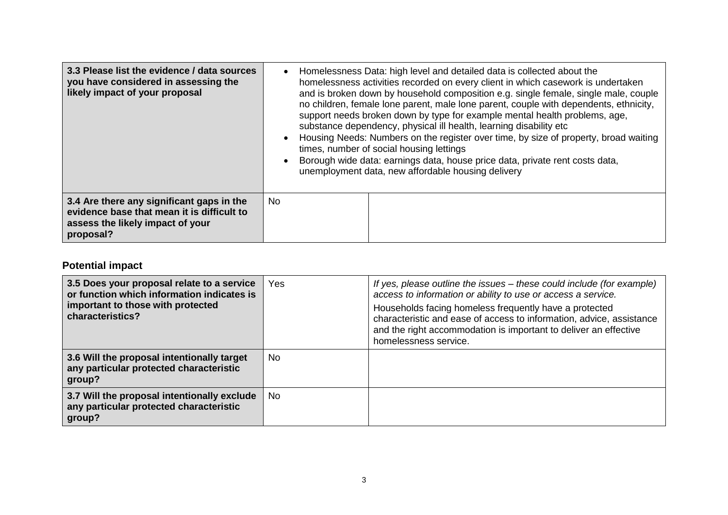| 3.3 Please list the evidence / data sources<br>you have considered in assessing the<br>likely impact of your proposal                    | Homelessness Data: high level and detailed data is collected about the<br>homelessness activities recorded on every client in which casework is undertaken<br>and is broken down by household composition e.g. single female, single male, couple<br>no children, female lone parent, male lone parent, couple with dependents, ethnicity,<br>support needs broken down by type for example mental health problems, age,<br>substance dependency, physical ill health, learning disability etc<br>Housing Needs: Numbers on the register over time, by size of property, broad waiting<br>times, number of social housing lettings<br>Borough wide data: earnings data, house price data, private rent costs data,<br>unemployment data, new affordable housing delivery |  |
|------------------------------------------------------------------------------------------------------------------------------------------|--------------------------------------------------------------------------------------------------------------------------------------------------------------------------------------------------------------------------------------------------------------------------------------------------------------------------------------------------------------------------------------------------------------------------------------------------------------------------------------------------------------------------------------------------------------------------------------------------------------------------------------------------------------------------------------------------------------------------------------------------------------------------|--|
| 3.4 Are there any significant gaps in the<br>evidence base that mean it is difficult to<br>assess the likely impact of your<br>proposal? | No.                                                                                                                                                                                                                                                                                                                                                                                                                                                                                                                                                                                                                                                                                                                                                                      |  |

## **Potential impact**

| 3.5 Does your proposal relate to a service<br>or function which information indicates is<br>important to those with protected<br>characteristics? | Yes | If yes, please outline the issues – these could include (for example)<br>access to information or ability to use or access a service.<br>Households facing homeless frequently have a protected<br>characteristic and ease of access to information, advice, assistance<br>and the right accommodation is important to deliver an effective<br>homelessness service. |
|---------------------------------------------------------------------------------------------------------------------------------------------------|-----|----------------------------------------------------------------------------------------------------------------------------------------------------------------------------------------------------------------------------------------------------------------------------------------------------------------------------------------------------------------------|
| 3.6 Will the proposal intentionally target<br>any particular protected characteristic<br>group?                                                   | No. |                                                                                                                                                                                                                                                                                                                                                                      |
| 3.7 Will the proposal intentionally exclude<br>any particular protected characteristic<br>group?                                                  | No. |                                                                                                                                                                                                                                                                                                                                                                      |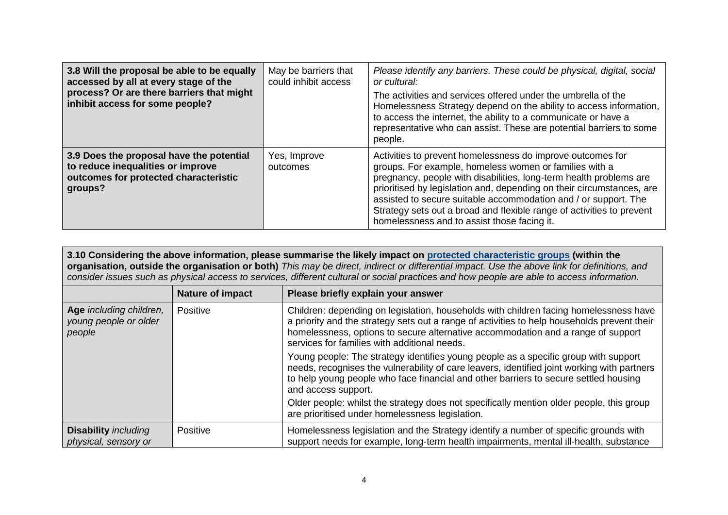| 3.8 Will the proposal be able to be equally<br>accessed by all at every stage of the<br>process? Or are there barriers that might<br>inhibit access for some people? | May be barriers that<br>could inhibit access | Please identify any barriers. These could be physical, digital, social<br>or cultural:<br>The activities and services offered under the umbrella of the<br>Homelessness Strategy depend on the ability to access information,<br>to access the internet, the ability to a communicate or have a<br>representative who can assist. These are potential barriers to some<br>people.                                                                              |
|----------------------------------------------------------------------------------------------------------------------------------------------------------------------|----------------------------------------------|----------------------------------------------------------------------------------------------------------------------------------------------------------------------------------------------------------------------------------------------------------------------------------------------------------------------------------------------------------------------------------------------------------------------------------------------------------------|
| 3.9 Does the proposal have the potential<br>to reduce inequalities or improve<br>outcomes for protected characteristic<br>groups?                                    | Yes, Improve<br>outcomes                     | Activities to prevent homelessness do improve outcomes for<br>groups. For example, homeless women or families with a<br>pregnancy, people with disabilities, long-term health problems are<br>prioritised by legislation and, depending on their circumstances, are<br>assisted to secure suitable accommodation and / or support. The<br>Strategy sets out a broad and flexible range of activities to prevent<br>homelessness and to assist those facing it. |

**3.10 Considering the above information, please summarise the likely impact on [protected characteristic groups](https://www.equalityhumanrights.com/en/equality-act/protected-characteristics) (within the organisation, outside the organisation or both)** *This may be direct, indirect or differential impact. Use the above link for definitions, and consider issues such as physical access to services, different cultural or social practices and how people are able to access information.*

|                                                            | <b>Nature of impact</b> | Please briefly explain your answer                                                                                                                                                                                                                                                                                       |
|------------------------------------------------------------|-------------------------|--------------------------------------------------------------------------------------------------------------------------------------------------------------------------------------------------------------------------------------------------------------------------------------------------------------------------|
| Age including children,<br>young people or older<br>people | Positive                | Children: depending on legislation, households with children facing homelessness have<br>a priority and the strategy sets out a range of activities to help households prevent their<br>homelessness, options to secure alternative accommodation and a range of support<br>services for families with additional needs. |
|                                                            |                         | Young people: The strategy identifies young people as a specific group with support<br>needs, recognises the vulnerability of care leavers, identified joint working with partners<br>to help young people who face financial and other barriers to secure settled housing<br>and access support.                        |
|                                                            |                         | Older people: whilst the strategy does not specifically mention older people, this group<br>are prioritised under homelessness legislation.                                                                                                                                                                              |
| <b>Disability</b> including<br>physical, sensory or        | Positive                | Homelessness legislation and the Strategy identify a number of specific grounds with<br>support needs for example, long-term health impairments, mental ill-health, substance                                                                                                                                            |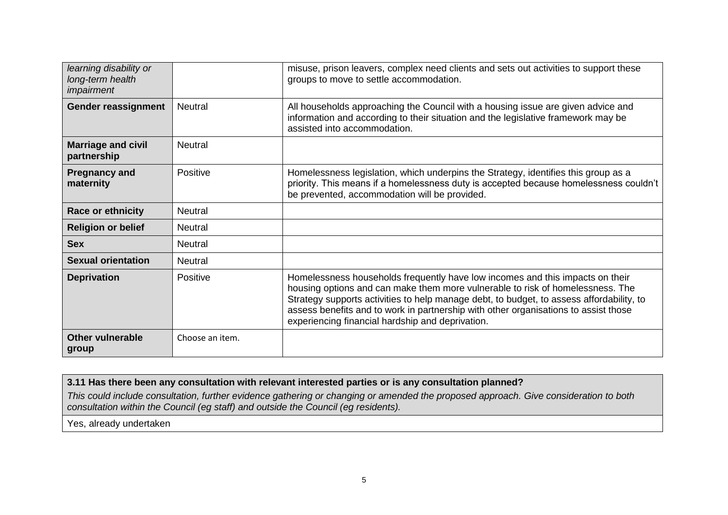| learning disability or<br>long-term health<br>impairment |                 | misuse, prison leavers, complex need clients and sets out activities to support these<br>groups to move to settle accommodation.                                                                                                                                                                                                                                                                       |
|----------------------------------------------------------|-----------------|--------------------------------------------------------------------------------------------------------------------------------------------------------------------------------------------------------------------------------------------------------------------------------------------------------------------------------------------------------------------------------------------------------|
| <b>Gender reassignment</b>                               | <b>Neutral</b>  | All households approaching the Council with a housing issue are given advice and<br>information and according to their situation and the legislative framework may be<br>assisted into accommodation.                                                                                                                                                                                                  |
| <b>Marriage and civil</b><br>partnership                 | <b>Neutral</b>  |                                                                                                                                                                                                                                                                                                                                                                                                        |
| <b>Pregnancy and</b><br>maternity                        | Positive        | Homelessness legislation, which underpins the Strategy, identifies this group as a<br>priority. This means if a homelessness duty is accepted because homelessness couldn't<br>be prevented, accommodation will be provided.                                                                                                                                                                           |
| <b>Race or ethnicity</b>                                 | <b>Neutral</b>  |                                                                                                                                                                                                                                                                                                                                                                                                        |
| <b>Religion or belief</b>                                | <b>Neutral</b>  |                                                                                                                                                                                                                                                                                                                                                                                                        |
| <b>Sex</b>                                               | <b>Neutral</b>  |                                                                                                                                                                                                                                                                                                                                                                                                        |
| <b>Sexual orientation</b>                                | <b>Neutral</b>  |                                                                                                                                                                                                                                                                                                                                                                                                        |
| <b>Deprivation</b>                                       | Positive        | Homelessness households frequently have low incomes and this impacts on their<br>housing options and can make them more vulnerable to risk of homelessness. The<br>Strategy supports activities to help manage debt, to budget, to assess affordability, to<br>assess benefits and to work in partnership with other organisations to assist those<br>experiencing financial hardship and deprivation. |
| <b>Other vulnerable</b><br>group                         | Choose an item. |                                                                                                                                                                                                                                                                                                                                                                                                        |

### **3.11 Has there been any consultation with relevant interested parties or is any consultation planned?**

*This could include consultation, further evidence gathering or changing or amended the proposed approach. Give consideration to both consultation within the Council (eg staff) and outside the Council (eg residents).*

Yes, already undertaken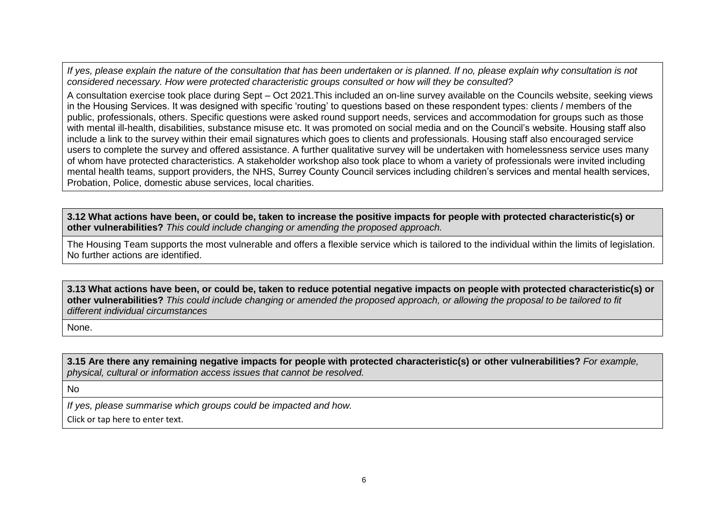*If yes, please explain the nature of the consultation that has been undertaken or is planned. If no, please explain why consultation is not considered necessary. How were protected characteristic groups consulted or how will they be consulted?*

A consultation exercise took place during Sept – Oct 2021.This included an on-line survey available on the Councils website, seeking views in the Housing Services. It was designed with specific 'routing' to questions based on these respondent types: clients / members of the public, professionals, others. Specific questions were asked round support needs, services and accommodation for groups such as those with mental ill-health, disabilities, substance misuse etc. It was promoted on social media and on the Council's website. Housing staff also include a link to the survey within their email signatures which goes to clients and professionals. Housing staff also encouraged service users to complete the survey and offered assistance. A further qualitative survey will be undertaken with homelessness service uses many of whom have protected characteristics. A stakeholder workshop also took place to whom a variety of professionals were invited including mental health teams, support providers, the NHS, Surrey County Council services including children's services and mental health services, Probation, Police, domestic abuse services, local charities.

**3.12 What actions have been, or could be, taken to increase the positive impacts for people with protected characteristic(s) or other vulnerabilities?** *This could include changing or amending the proposed approach.* 

The Housing Team supports the most vulnerable and offers a flexible service which is tailored to the individual within the limits of legislation. No further actions are identified.

**3.13 What actions have been, or could be, taken to reduce potential negative impacts on people with protected characteristic(s) or other vulnerabilities?** *This could include changing or amended the proposed approach, or allowing the proposal to be tailored to fit different individual circumstances* 

None.

**3.15 Are there any remaining negative impacts for people with protected characteristic(s) or other vulnerabilities?** *For example, physical, cultural or information access issues that cannot be resolved.*

No

*If yes, please summarise which groups could be impacted and how.*

Click or tap here to enter text.